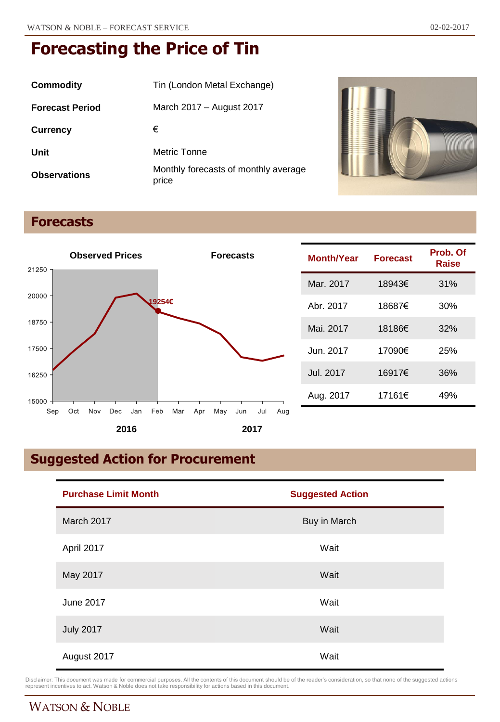| Commodity              | Tin (London Metal Exchange)                   |
|------------------------|-----------------------------------------------|
| <b>Forecast Period</b> | March 2017 – August 2017                      |
| <b>Currency</b>        | €                                             |
| Unit                   | Metric Tonne                                  |
| <b>Observations</b>    | Monthly forecasts of monthly average<br>price |



## **Forecasts**



| <b>Month/Year</b> | <b>Forecast</b> | Prob. Of<br>Raise |
|-------------------|-----------------|-------------------|
| Mar. 2017         | 18943€          | 31%               |
| Abr. 2017         | 18687€          | 30%               |
| Mai. 2017         | 18186€          | 32%               |
| Jun. 2017         | 17090€          | 25%               |
| Jul. 2017         | 16917€          | 36%               |
| Aug. 2017         | 17161€          | 49%               |

# **Suggested Action for Procurement**

| <b>Purchase Limit Month</b> | <b>Suggested Action</b> |
|-----------------------------|-------------------------|
| March 2017                  | Buy in March            |
| April 2017                  | Wait                    |
| May 2017                    | Wait                    |
| June 2017                   | Wait                    |
| <b>July 2017</b>            | Wait                    |
| August 2017                 | Wait                    |

Disclaimer: This document was made for commercial purposes. All the contents of this document should be of the reader's consideration, so that none of the suggested actions<br>represent incentives to act. Watson & Noble does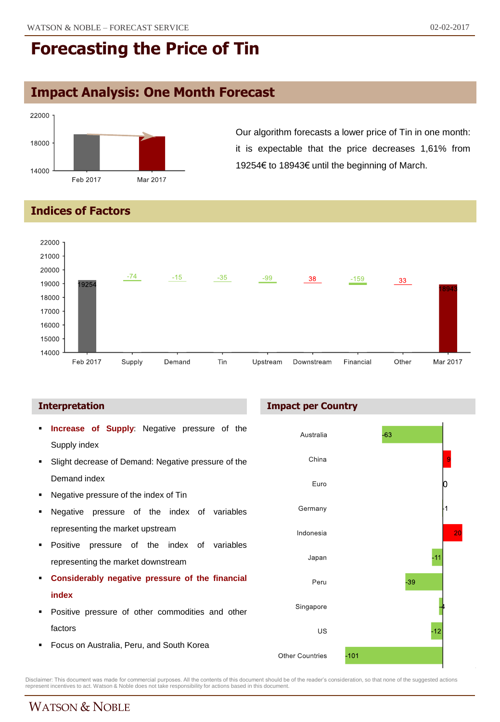## **Impact Analysis: One Month Forecast**



Our algorithm forecasts a lower price of Tin in one month: it is expectable that the price decreases 1,61% from 19254€ to 18943€ until the beginning of March.

#### **Indices of Factors**



**Impact per Country**

#### **Interpretation**



Disclaimer: This document was made for commercial purposes. All the contents of this document should be of the reader's consideration, so that none of the suggested actions<br>represent incentives to act. Watson & Noble does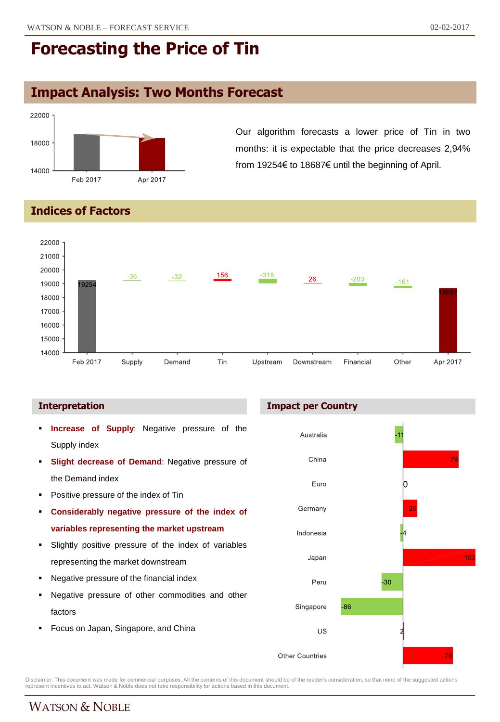## **Impact Analysis: Two Months Forecast**



Our algorithm forecasts a lower price of Tin in two months: it is expectable that the price decreases 2,94% from 19254€ to 18687€ until the beginning of April.

### **Indices of Factors**



- **Increase of Supply**: Negative pressure of the Supply index
- **Slight decrease of Demand**: Negative pressure of the Demand index
- Positive pressure of the index of Tin
- **Considerably negative pressure of the index of variables representing the market upstream**
- Slightly positive pressure of the index of variables representing the market downstream
- Negative pressure of the financial index
- Negative pressure of other commodities and other factors
- Focus on Japan, Singapore, and China

#### **Interpretation Impact per Country**



Disclaimer: This document was made for commercial purposes. All the contents of this document should be of the reader's consideration, so that none of the suggested actions<br>represent incentives to act. Watson & Noble does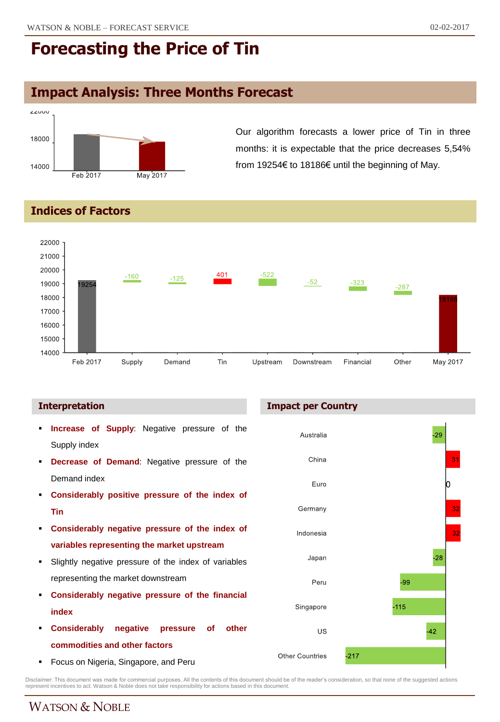## **Impact Analysis: Three Months Forecast**



Our algorithm forecasts a lower price of Tin in three months: it is expectable that the price decreases 5,54% from 19254€ to 18186€ until the beginning of May.

### **Indices of Factors**



- **Increase of Supply**: Negative pressure of the Supply index
- **Decrease of Demand**: Negative pressure of the Demand index
- **Considerably positive pressure of the index of Tin**
- **Considerably negative pressure of the index of variables representing the market upstream**
- Slightly negative pressure of the index of variables representing the market downstream
- **Considerably negative pressure of the financial index**
- **Considerably negative pressure of other commodities and other factors**
- Focus on Nigeria, Singapore, and Peru

#### **Interpretation Impact per Country**



Disclaimer: This document was made for commercial purposes. All the contents of this document should be of the reader's consideration, so that none of the suggested actions<br>represent incentives to act. Watson & Noble does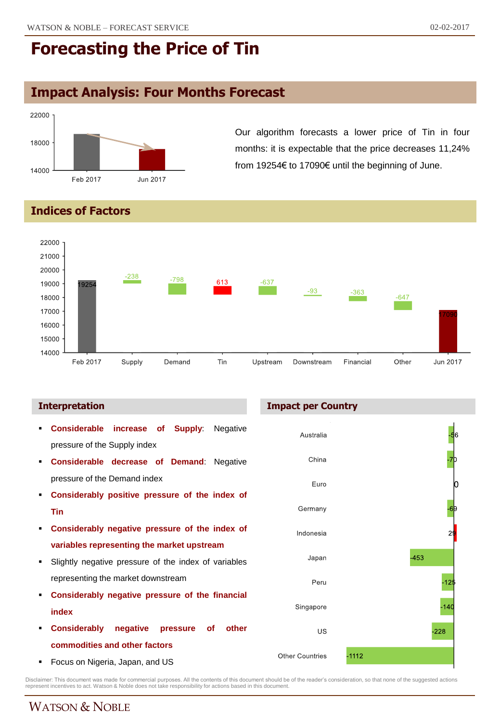$\mathfrak{p}$ 

 $-12$ 

 $140$ 

228

 $-453$ 

# **Forecasting the Price of Tin**

## **Impact Analysis: Four Months Forecast**



Our algorithm forecasts a lower price of Tin in four months: it is expectable that the price decreases 11,24% from 19254€ to 17090€ until the beginning of June.

### **Indices of Factors**



 **Considerable increase of Supply**: Negative Australia pressure of the Supply index China **Considerable decrease of Demand**: Negative pressure of the Demand index Euro **Considerably positive pressure of the index of** Germany **Tin Considerably negative pressure of the index of** Indonesia **variables representing the market upstream** Japan Slightly negative pressure of the index of variables representing the market downstream Peru **Considerably negative pressure of the financial** Singapore **index Considerably negative pressure of other** US **commodities and other factors Other Countries**  $-1112$ **Focus on Nigeria, Japan, and US** 

Disclaimer: This document was made for commercial purposes. All the contents of this document should be of the reader's consideration, so that none of the suggested actions<br>represent incentives to act. Watson & Noble does

## WATSON & NOBLE

#### **Interpretation Impact per Country**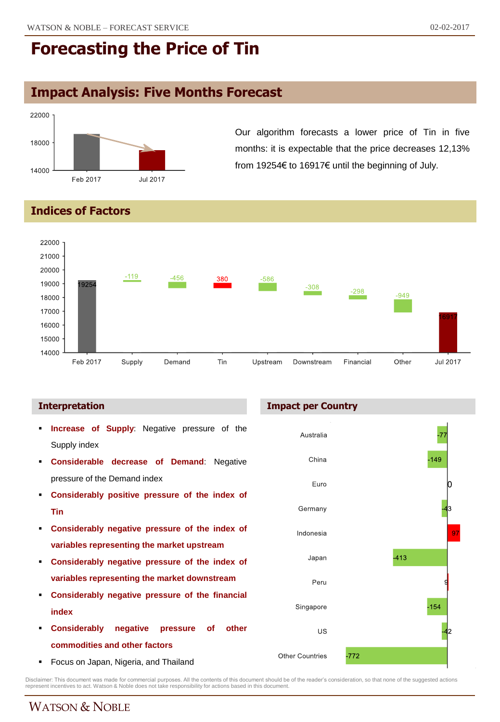## **Impact Analysis: Five Months Forecast**



Our algorithm forecasts a lower price of Tin in five months: it is expectable that the price decreases 12,13% from 19254€ to 16917€ until the beginning of July.

### **Indices of Factors**



- **Increase of Supply**: Negative pressure of the Supply index
- **Considerable decrease of Demand**: Negative pressure of the Demand index
- **Considerably positive pressure of the index of Tin**
- **Considerably negative pressure of the index of variables representing the market upstream**
- **Considerably negative pressure of the index of variables representing the market downstream**
- **Considerably negative pressure of the financial index**
- **Considerably negative pressure of other commodities and other factors**
- Focus on Japan, Nigeria, and Thailand

#### **Interpretation Impact per Country**



Disclaimer: This document was made for commercial purposes. All the contents of this document should be of the reader's consideration, so that none of the suggested actions<br>represent incentives to act. Watson & Noble does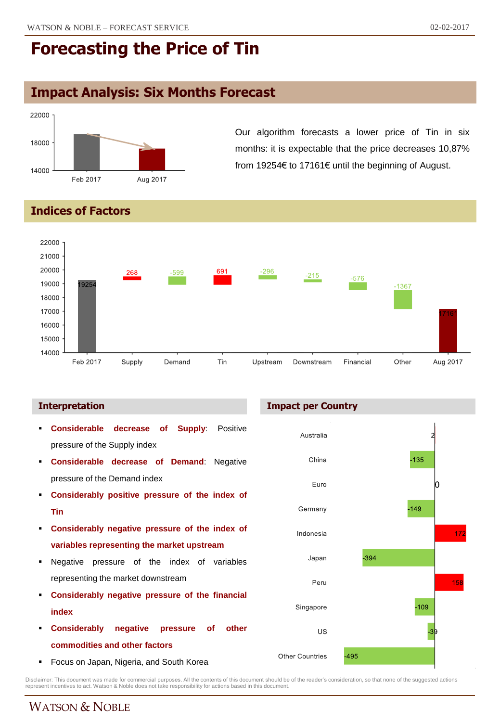## **Impact Analysis: Six Months Forecast**



Our algorithm forecasts a lower price of Tin in six months: it is expectable that the price decreases 10,87% from 19254€ to 17161€ until the beginning of August.

### **Indices of Factors**



 **Considerable decrease of Supply**: Positive pressure of the Supply index **Considerable decrease of Demand**: Negative pressure of the Demand index **Considerably positive pressure of the index of Tin Considerably negative pressure of the index of variables representing the market upstream** Negative pressure of the index of variables representing the market downstream **Considerably negative pressure of the financial index Considerably negative pressure of other commodities and other factors**



#### **Interpretation Impact per Country**



Disclaimer: This document was made for commercial purposes. All the contents of this document should be of the reader's consideration, so that none of the suggested actions<br>represent incentives to act. Watson & Noble does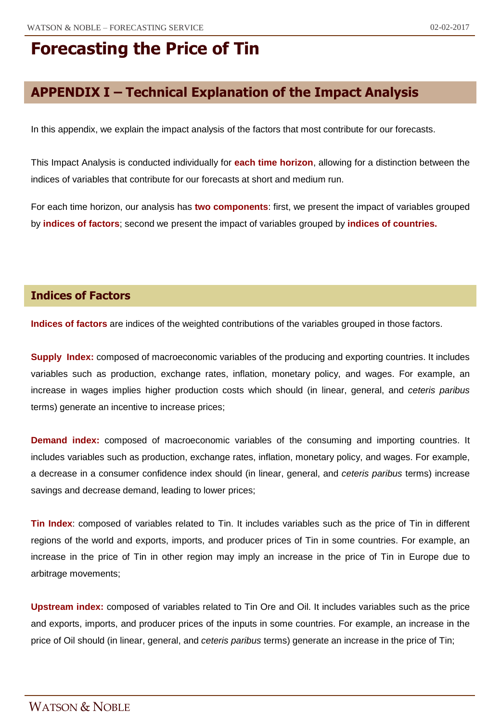## **APPENDIX I – Technical Explanation of the Impact Analysis**

In this appendix, we explain the impact analysis of the factors that most contribute for our forecasts.

This Impact Analysis is conducted individually for **each time horizon**, allowing for a distinction between the indices of variables that contribute for our forecasts at short and medium run.

For each time horizon, our analysis has **two components**: first, we present the impact of variables grouped by **indices of factors**; second we present the impact of variables grouped by **indices of countries.**

### **Indices of Factors**

**Indices of factors** are indices of the weighted contributions of the variables grouped in those factors.

**Supply Index:** composed of macroeconomic variables of the producing and exporting countries. It includes variables such as production, exchange rates, inflation, monetary policy, and wages. For example, an increase in wages implies higher production costs which should (in linear, general, and *ceteris paribus* terms) generate an incentive to increase prices;

**Demand index:** composed of macroeconomic variables of the consuming and importing countries. It includes variables such as production, exchange rates, inflation, monetary policy, and wages. For example, a decrease in a consumer confidence index should (in linear, general, and *ceteris paribus* terms) increase savings and decrease demand, leading to lower prices;

**Tin Index**: composed of variables related to Tin. It includes variables such as the price of Tin in different regions of the world and exports, imports, and producer prices of Tin in some countries. For example, an increase in the price of Tin in other region may imply an increase in the price of Tin in Europe due to arbitrage movements;

**Upstream index:** composed of variables related to Tin Ore and Oil. It includes variables such as the price and exports, imports, and producer prices of the inputs in some countries. For example, an increase in the price of Oil should (in linear, general, and *ceteris paribus* terms) generate an increase in the price of Tin;